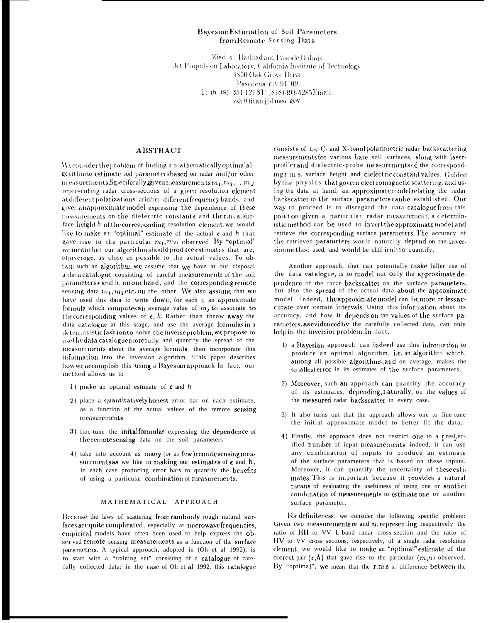## Bayesian Estimation of Soil Parameters from Remote Sensing Data

Ziad s. Haddad and Pascale Dubois Jet Propulsion Laboratory, California Institute of Technology **1800 Oak Grove Drive** Pasadena CA 91109 I: (h IS) 354-1218 F: (818) 393-5285 Email: zsh@titan.jpl.nasa.gov

# **ABSTRACT**

We consider the problem of finding a mathematically optimal algorithm to estimate soil parameters based on radar and/or other m easurements Specifically given measurements  $m_1, m_2, \ldots, m_J$ representing radar cross-sections of a given resolution element at different polarizations arid/rrr different frequency bands, and given an approximate model expressing the dependence of these measurements on the dielectric constants and thermis.surface height h of the corresponding resolution element, we would like to make an "optimal" estimate of the actual  $\epsilon$  and  $h$  that gave rise to the particular  $m_1, m_2$ , observed. By "optimal" we mean that our algorithm should produce estimates that are, onaverage, as close as possible to the actual values. To obtain such an algorithm, we assume that we have at our disposal a data catalogue consisting of careful measurements of the soil parameters  $\epsilon$  and h, on one hand, and the corresponding remote sensing data  $m_1, m_2$  etc, on the other. We also assume that we have used this data to write down, for each j, an approximate formula which computes an average value of  $m_j$  to associate to the corresponding values of  $\epsilon$ , h. Rather than throw away the data catalogue at this stage, and use the average formulas in a deterministic fashion to solve the inverse problem, we propose to use the data catalogue more fully and quantify the spread of the measurements about the average formula, then incorporate this information into the inversion algorithm. This paper describes how we accomplish this using a Bayesian approach. In fact, our method allows us to

- 1) make an optimal estimate of  $\epsilon$  and h
- 2) place a quantitatively honest error bar on each estimate, as a function of the actual values of the remote sensing measurements
- 3) fioc-tune the initalformulas expressing the dependence of the remote sensing data on the soil parameters
- 4) take into account as many (or as few) remote sensing measurements as we like in making our estimates of  $\epsilon$  and  $h$ , in each case producing error bars to quantify the benefits of using a particular combination of measurements.

### MATHEMATICAL APPROACH

Because the laws of scattering from randomly rough natural surfaces are quite complicated, especially at microwave frequencies, empirical models have often been used to help express the obset ved remote sensing measurements as a function of the surface parameters. A typical approach, adopted in (Oh et al 1992), is to start with a "training set" consisting of a catalogue of carefully collected data: in the case of Oh et al 1992, this catalogue consists of 1,-, C- and X-band polarimetric radar backscattering measurements for various bare soil surfaces, along with laserprofiler and dielectric-probe measurements of the correspondingr.m.s. surface height and dielectric constant values. Guided by the physics that govern elect romagnetic scattering, and using the data at hand, an approximate model relating the radar backscatter to the surface parameters can be established. One way to proceed is to disregard the data catalogue from this point on: given a particular radar measurement, a deterministic method can be used to invert the approximate model and retrieve the corresponding surface parameters. The accuracy of the retrieved parameters would naturally depend on the inversion method used, and would be cliff icult to quantify.

Another approach, that can potentially make fuller use of the data catalogue, is to model not only the approximate dependence of the radar backscatter on the surface parameters, but also the *spread* of the actual data about the approximate model. Indeed, the approximate model can be more or less accurate over certain intervals. Using this information about its accuracy, and how it depends on the values of the surface parameters, as evidenced by the carefully collected data, can only help in the inversion problem. In fact,

- 1) a Bayesian approach can indeed use this information to produce an optimal algorithm, i.e. an algorithm which, among all possible algorithms, and on average, makes the smallest error in its estimates of the surface parameters.
- 2) Moreover, such an approach can quantify the accuracy of its estimates, depending, naturally, on the values of the measured radar backscatter in every case.
- 3) It also turns out that the approach allows one to fine-tune the initial approximate model to better fit the data.
- 4) Finally, the approach does not restrict one to a r,resl,ecified number of input measurements: indeed, it can use any combination of inputs to produce an estimate of the surface parameters that is based on these inputs. Moreover, it can quantify the uncertainty of these estimates. This is important because it provides a natural means of evaluating the usefulness of using one or another combination of measurements to estimate one or another surface parameter.

For definiteness, we consider the following specific problem: Given two measurements  $m$  and  $n$ , representing respectively the ratio of HH to VV L-band radar cross-section and the ratio of HV to VV cross sections, respectively, of a single radar resolution element, we would like to make an "optimal" estimate of the correct pair  $(\epsilon, h)$  that gave rise to the particular  $(m, n)$  observed. By "optima]", we mean that the r.m.s s. difference between the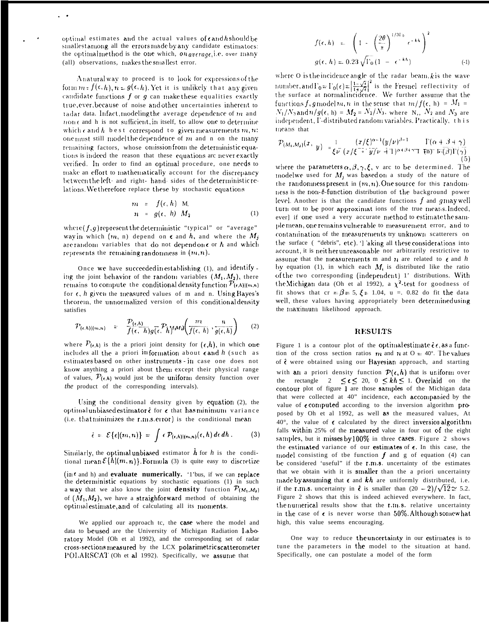optimal estimates and the actual values of candhshould be sinallest among all the errors made by any candidate estimators: the optimalmethod is the one which, on average, i.e. over many (all) observations, makes the smallest error.

Anatural way to proceed is to look for expressions of the form  $m = f(\epsilon, h)$ ,  $n = g(\epsilon, h)$ . Yet it is unlikely that any given candidate functions  $f$  or  $g$  can make these equalities exactly true, ever, because of noise and other uncertainties inherent to radar data. Infact, modeling the average dependence of m and  $n$  one and h is not sufficient, in itself, to allow one to determine which c and h be st correspond to given measurements  $m, n$ : one must still model the dependence of  $m$  and n on the many remaining factors, whose omission from the deterministic equations is indeed the reason that these equations are never exactly verified. In order to find an optimal procedure, one needs to make an effort to mathematically account for the discrepancy between the left- and right- hand- sides of the deterministic relations. We therefore replace these by stochastic equations

$$
m = f(\epsilon, h) \quad M_{\epsilon}
$$
  
\n
$$
n = g(\epsilon, h) \quad M_2
$$
 (1)

where  $(f, g)$  represent the deterministic "typical" or "average" way in which  $(m, n)$  depend on  $\epsilon$  and  $h$ , and where the  $M_i$ are random variables that do not depend on  $\epsilon$  or  $h$  and which represents the remaining randomness in  $(m, n)$ .

Once we have succeeded in establishing (1), and identify ing the joint behavior of the random variables  $(M_1, M_2)$ , there remains to compute the conditional density function  $P_{(e,h)|(m,n)}$ for  $\epsilon$ , h given the measured values of m and n. Using Bayes's theorem, the unnormalized version of this conditional density satisfies

$$
\mathcal{P}_{\{\epsilon,h\}|\{m,n\}} = \frac{\mathcal{P}_{\{\epsilon,h\}}}{f(\epsilon,h)g(\epsilon,h)} \int_{0}^{\infty} \mathcal{P}_{h} M \omega \left(\frac{m}{f(\epsilon,h)},\frac{n}{g(\epsilon,h)}\right) \qquad (2)
$$

where  $P_{(\epsilon, h)}$  is the a priori joint density for  $(\epsilon, h)$ , in which one includes all the a priori information about cand  $h$  (such as estimates based on other instruments - in case one does not know anything a priori about them except their physical range of values,  $\mathcal{P}_{(\epsilon, \lambda)}$  would just be the uniform density function over the product of the corresponding intervals).

Using the conditional density given by equation (2), the optimal unbiased estimator  $\hat{\epsilon}$  for  $\epsilon$  that has minimum variance (i.e. that minimizes the r.m.s. error) is the conditional mean

$$
\hat{\epsilon} = \mathcal{E}\{\epsilon | (m,n) \} = \int \epsilon \mathcal{P}_{(\epsilon,h)|(m,n)}(\epsilon,h) \, d\epsilon \, dh \,. \tag{3}
$$

Similarly, the optimal unbiased estimator  $\hat{h}$  for h is the conditional mean  $\mathcal{E}\{h|(m,n)\}\$ . Formula (3) is quite easy to discretize

(int and h) and evaluate numerically. 'l'bus, if we can replace the deterministic equations by stochastic equations (1) in such a way that we also know the joint density function  $P_{(M_1,M_2)}$ of  $(M_1, M_2)$ , we have a straighforward method of obtaining the optimal estimate, and of calculating all its moments.

We applied our approach tc, the case where the model and data to be used are the University of Michigan Radiation Laboratory Model (Oh et al 1992), and the corresponding set of radar cross-sections measured by the LCX polarimetric scatterometer POLARSCAT (Oh et al 1992). Specifically, we assume that

$$
f(\epsilon, h) = \left(1 - \left(\frac{2\theta}{\pi}\right)^{1/3\Gamma_0} \epsilon^{-kh}\right)^2
$$
  

$$
g(\epsilon, h) = 0.23\sqrt{\Gamma_0} (1 - \epsilon^{-kh})
$$
 (4)

where O is the incidence angle of the radar beam,  $k$  is the wave number, and  $\Gamma_0 = \Gamma_0(\epsilon) = \left|\frac{1-\sqrt{\epsilon}}{1+\sqrt{\epsilon}}\right|^2$  is the Fresnel reflectivity of the surface at normal incidence. We further assume that the functions f, g model m, n in the sense that  $m/f(\epsilon, h) = M_1 =$  $N_1/N_3$  and  $n/g(\epsilon, h) = M_2 = N_2/N_3$ , where N,,  $N_2$  and  $N_3$  are independent, I-distributed random variables. Practically, this means that

$$
\mathcal{P}(M_1,M_2)(x, y) = \frac{1}{\xi \overline{\nu}} \frac{(x/\xi)^{\alpha-1} (y/\nu)^{\beta-1}}{(x/\xi + \overline{y}/\nu + 1)^{\alpha+\beta+\gamma} \mathbf{T} \overline{(m)} \overline{\nu} \overline{(m)}} \frac{\Gamma(\alpha+3+\gamma)}{\Gamma(\beta)\Gamma(\gamma)} \tag{5}
$$

where the parameters  $\alpha, \beta, \gamma, \xi$ , v arc to be determined. The modelwe used for  $M_j$  was based on a study of the nature of the randomness present in  $(m, n)$ . One source for this randomness is the non-6-function distribution of the background power level. Another is that the candidate functions  $f$  and  $g$  may well turn out to be poor approximat ions of the true means. Indeed, ever] if one used a very accurate method to estimate the sample mean, one remains vulnerable to measurement error, and to contamination of the measurements try unknown scatterers on the surface ("debris", etc). Taking all these considerations into account, it is neither unreasonable nor arbitrarily restrictive to assume that the measurements m and n are related to  $\epsilon$  and h by equation (1), in which each  $M_i$  is distributed like the ratio of the two corresponding (independent) 1' distributions. With the Michigan data (Oh et al 1992), a  $\chi^2$ -test for goodness of fit shows that  $cr = \beta = 5$ ,  $\xi = 1.04$ ,  $u = 0.82$  do fit the data well, these values having appropriately been determinedusing the maximum likelihood approach.

### **RESULTS**

Figure 1 is a contour plot of the optimal estimate  $\hat{\epsilon} \epsilon$ , as a function of the cross section ratios m and n at  $0 = 40^{\circ}$ . The values of  $\hat{\epsilon}$  were obtained using our Bayesian approach, and starting with an a priori density function  $\mathcal{P}(\epsilon, h)$  that is uniform over the rectangle  $2 \le \epsilon \le 20$ ,  $0 \le kh \le 1$ . Overlaid on the contour plot of figure 1 are those samples of the Michigan data that were collected at 40" incidence, each accompanied by the value of  $\epsilon$  computed according to the inversion algorithm proposed by Oh et al 1992, as well as the measured values, At 40°, the value of  $\epsilon$  calculated by the direct inversion algorithm falls within 25% of the measured value in four out of the eight samples, but it misses by 100% in three cases. Figure 2 shows the estimated variance of our estimates of  $\epsilon$ . In this case, the model consisting of the function  $f$  and  $g$  of equation (4) can be considered 'useful" if the r.m.s. uncertainty of the estimates that we obtain with it is smaller than the a priori uncertainty made by assuming that  $\epsilon$  and  $kh$  are uniformly distributed, i.e. if the r.m.s. uncertainty in  $\hat{\epsilon}$  is smaller than  $(20 - 2)/\sqrt{12} \approx 5.2$ . Figure 2 shows that this is indeed achieved everywhere. In fact, the numerical results show that the r.m.s. relative uncertainty in the case of  $\epsilon$  is never worse than 50%. Although somewhat high, this value seems encouraging.

One way to reduce the uncertainty in our estimates is to tune the parameters in the model to the situation at hand. Specifically, one can postulate a model of the form